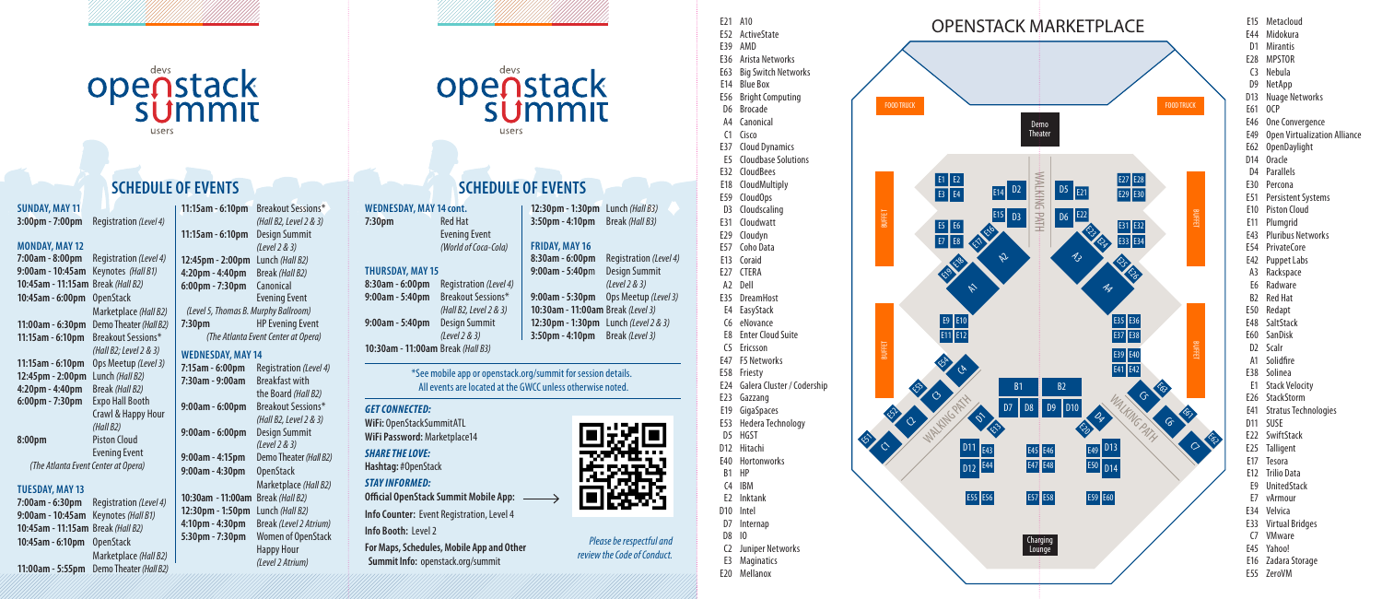# openstack

# **SCHEDULE OF EVENTS**

## **SUNDAY, MAY 11**

**3:00pm - 7:00pm** Registration *(Level 4)*

#### **MONDAY, MAY 12**

**7:00am - 8:00pm** Registration *(Level 4)* **9:00am - 10:45am** Keynotes *(Hall B1)* **10:45am - 11:15am** Break *(Hall B2)* **10:45am - 6:00pm** OpenStack Marketplace *(Hall B2)* **11:00am - 6:30pm** Demo Theater *(Hall B2)* **11:15am - 6:10pm** Breakout Sessions\* *(Hall B2; Level 2 & 3)* **11:15am - 6:10pm** Ops Meetup *(Level 3)* **12:45pm - 2:00pm** Lunch *(Hall B2)* **4:20pm - 4:40pm** Break *(Hall B2)* **6:00pm - 7:30pm** Expo Hall Booth Crawl & Happy Hour *(Hall B2)* **8:00pm** Piston Cloud Evening Event *(The Atlanta Event Center at Opera)*

## **TUESDAY, MAY 13**

**7:00am - 6:30pm** Registration *(Level 4)* **9:00am - 10:45am** Keynotes *(Hall B1)* **10:45am - 11:15am** Break *(Hall B2)* **10:45am - 6:10pm** OpenStack Marketplace *(Hall B2)* **11:00am - 5:55pm** Demo Theater *(Hall B2)*

### **11:15am - 6:10pm** Breakout Sessions\* *(Hall B2, Level 2 & 3)* **11:15am - 6:10pm** Design Summit

*(Level 2 & 3)* **12:45pm - 2:00pm** Lunch *(Hall B2)* **4:20pm - 4:40pm** Break *(Hall B2)* **6:00pm - 7:30pm** Canonical Evening Event *(Level 5, Thomas B. Murphy Ballroom)* **7:30pm** HP Evening Event *(The Atlanta Event Center at Opera)* **WEDNESDAY, MAY 14 7:15am - 6:00pm** Registration *(Level 4)* **7:30am - 9:00am** Breakfast with the Board *(Hall B2)* **9:00am - 6:00pm** Breakout Sessions\* *(Hall B2, Level 2 & 3)* **9:00am - 6:00pm** Design Summit

*(Level 2 & 3)* **9:00am - 4:15pm** Demo Theater *(Hall B2)* **9:00am - 4:30pm** OpenStack

Marketplace *(Hall B2)* **10:30am - 11:00am** Break *(Hall B2)* **12:30pm - 1:50pm** Lunch *(Hall B2)* **4:10pm - 4:30pm** Break *(Level 2 Atrium)* **5:30pm - 7:30pm** Women of OpenStack Happy Hour *(Level 2 Atrium)*

openstack

# **SCHEDULE OF EVENTS**

**FRIDAY, MAY 16**

**9:00am - 5:40pm** 

*(World of Coca-Cola)*

**WEDNESDAY, MAY 14 cont. 7:30pm** Red Hat Evening Event

## **THURSDAY, MAY 15**

**8:30am - 6:00pm** Registration *(Level 4)* **9:00am - 5:40pm** Breakout Sessions\* *(Hall B2, Level 2 & 3)* **9:00am - 5:40pm** Design Summit *(Level 2 & 3)*

**10:30am - 11:00am** Break *(Hall B3)*

#### \*See mobile app or openstack.org/summit for session details. All events are located at the GWCC unless otherwise noted.

#### *GET CONNECTED:*

**WiFi:** OpenStackSummitATL **WiFi Password:** Marketplace14

*SHARE THE LOVE:* **Hashtag:** #OpenStack

#### *STAY INFORMED:*

**Official OpenStack Summit Mobile App: Info Counter:** Event Registration, Level 4

**Info Booth:** Level 2

**For Maps, Schedules, Mobile App and Other Summit Info:** openstack.org/summit

**12:30pm - 1:30pm** Lunch *(Hall B3)* **3:50pm - 4:10pm** Break *(Hall B3)* **8:30am - 6:00pm** Registration *(Level 4) (Level 2 & 3)* **9:00am - 5:30pm** Ops Meetup *(Level 3)* **10:30am - 11:00am** Break *(Level 3)* **12:30pm - 1:30pm** Lunch *(Level 2 & 3)* **3:50pm - 4:10pm** Break *(Level 3)* E52 ActiveState E39 AMD E36 Arista Networks E63 Big Switch Networks E14 Blue Box E56 Bright Computing D6 Brocade A4 Canonical C1 Cisco E37 Cloud Dynamics E5 Cloudbase Solutions E32 CloudBees E18 CloudMultiply E59 CloudOps D3 Cloudscaling E31 Cloudwatt E29 Cloudyn E57 Coho Data E13 Coraid E27 CTERA

E21 A10



E3 Maginatics E20 Mellanox